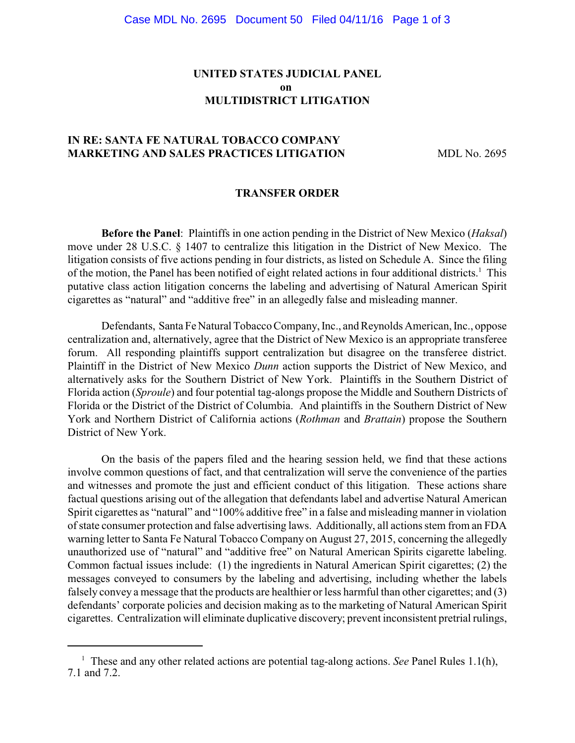# **UNITED STATES JUDICIAL PANEL on MULTIDISTRICT LITIGATION**

# **IN RE: SANTA FE NATURAL TOBACCO COMPANY MARKETING AND SALES PRACTICES LITIGATION MDL No. 2695**

#### **TRANSFER ORDER**

**Before the Panel**: Plaintiffs in one action pending in the District of New Mexico (*Haksal*) move under 28 U.S.C. § 1407 to centralize this litigation in the District of New Mexico. The litigation consists of five actions pending in four districts, as listed on Schedule A. Since the filing of the motion, the Panel has been notified of eight related actions in four additional districts.<sup>1</sup> This putative class action litigation concerns the labeling and advertising of Natural American Spirit cigarettes as "natural" and "additive free" in an allegedly false and misleading manner.

Defendants, Santa FeNatural Tobacco Company, Inc., and Reynolds American, Inc., oppose centralization and, alternatively, agree that the District of New Mexico is an appropriate transferee forum. All responding plaintiffs support centralization but disagree on the transferee district. Plaintiff in the District of New Mexico *Dunn* action supports the District of New Mexico, and alternatively asks for the Southern District of New York. Plaintiffs in the Southern District of Florida action (*Sproule*) and four potential tag-alongs propose the Middle and Southern Districts of Florida or the District of the District of Columbia. And plaintiffs in the Southern District of New York and Northern District of California actions (*Rothman* and *Brattain*) propose the Southern District of New York.

On the basis of the papers filed and the hearing session held, we find that these actions involve common questions of fact, and that centralization will serve the convenience of the parties and witnesses and promote the just and efficient conduct of this litigation. These actions share factual questions arising out of the allegation that defendants label and advertise Natural American Spirit cigarettes as "natural" and "100% additive free" in a false and misleading manner in violation of state consumer protection and false advertising laws. Additionally, all actions stem from an FDA warning letter to Santa Fe Natural Tobacco Company on August 27, 2015, concerning the allegedly unauthorized use of "natural" and "additive free" on Natural American Spirits cigarette labeling. Common factual issues include: (1) the ingredients in Natural American Spirit cigarettes; (2) the messages conveyed to consumers by the labeling and advertising, including whether the labels falsely convey a message that the products are healthier or less harmful than other cigarettes; and (3) defendants' corporate policies and decision making as to the marketing of Natural American Spirit cigarettes. Centralization will eliminate duplicative discovery; prevent inconsistent pretrial rulings,

 $\frac{1}{1}$  These and any other related actions are potential tag-along actions. *See* Panel Rules 1.1(h), 7.1 and 7.2.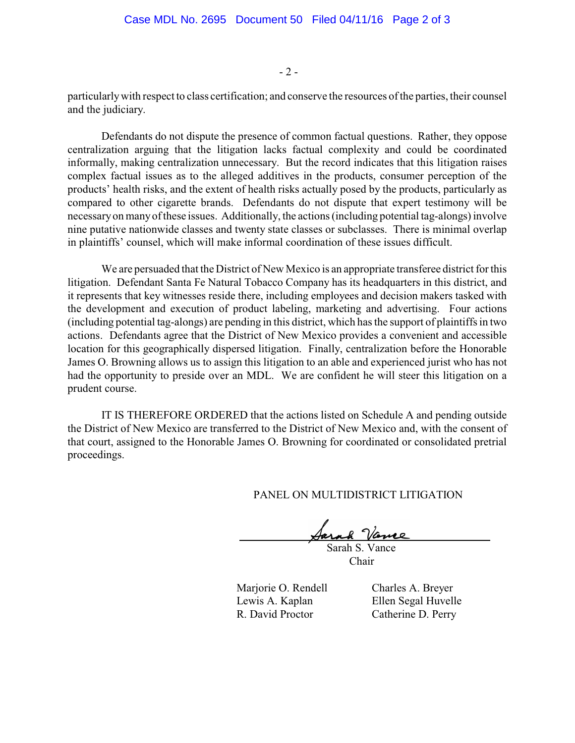$-2-$ 

particularlywith respect to class certification; and conserve the resources of the parties, their counsel and the judiciary.

Defendants do not dispute the presence of common factual questions. Rather, they oppose centralization arguing that the litigation lacks factual complexity and could be coordinated informally, making centralization unnecessary. But the record indicates that this litigation raises complex factual issues as to the alleged additives in the products, consumer perception of the products' health risks, and the extent of health risks actually posed by the products, particularly as compared to other cigarette brands. Defendants do not dispute that expert testimony will be necessaryon manyof these issues. Additionally, the actions (including potential tag-alongs) involve nine putative nationwide classes and twenty state classes or subclasses. There is minimal overlap in plaintiffs' counsel, which will make informal coordination of these issues difficult.

We are persuaded that the District of New Mexico is an appropriate transferee district for this litigation. Defendant Santa Fe Natural Tobacco Company has its headquarters in this district, and it represents that key witnesses reside there, including employees and decision makers tasked with the development and execution of product labeling, marketing and advertising. Four actions (including potential tag-alongs) are pending in this district, which has the support of plaintiffs in two actions. Defendants agree that the District of New Mexico provides a convenient and accessible location for this geographically dispersed litigation. Finally, centralization before the Honorable James O. Browning allows us to assign this litigation to an able and experienced jurist who has not had the opportunity to preside over an MDL. We are confident he will steer this litigation on a prudent course.

IT IS THEREFORE ORDERED that the actions listed on Schedule A and pending outside the District of New Mexico are transferred to the District of New Mexico and, with the consent of that court, assigned to the Honorable James O. Browning for coordinated or consolidated pretrial proceedings.

PANEL ON MULTIDISTRICT LITIGATION

Jary 8 Vano

 Sarah S. Vance Chair

Marjorie O. Rendell Charles A. Breyer Lewis A. Kaplan Ellen Segal Huvelle R. David Proctor Catherine D. Perry